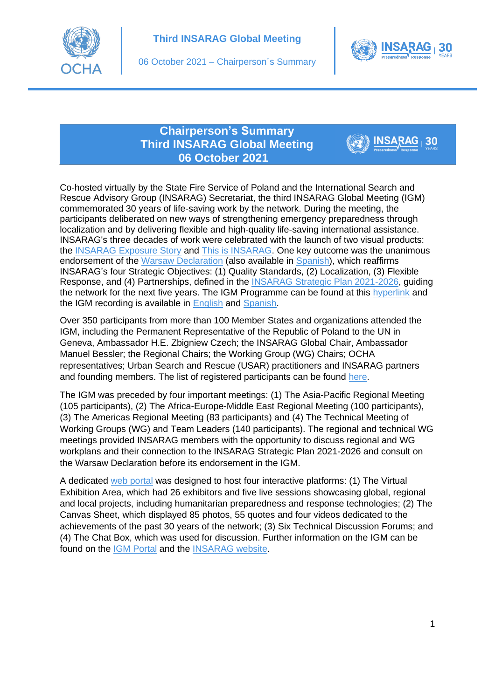



30

## **Chairperson's Summary Third INSARAG Global Meeting 06 October 2021**

Co-hosted virtually by the State Fire Service of Poland and the International Search and Rescue Advisory Group (INSARAG) Secretariat, the third INSARAG Global Meeting (IGM) commemorated 30 years of life-saving work by the network. During the meeting, the participants deliberated on new ways of strengthening emergency preparedness through localization and by delivering flexible and high-quality life-saving international assistance. INSARAG's three decades of work were celebrated with the launch of two visual products: the [INSARAG Exposure Story](https://unocha.exposure.co/insarag-1) and [This is INSARAG.](https://www.insarag.org/wp-content/uploads/2021/10/This-is-INSARAG-200dpi_for-website.pdf) One key outcome was the unanimous endorsement of the Warsaw Declaration (also available in [Spanish\)](https://www.insarag.org/wp-content/uploads/2021/10/Declaracion-de-Varsovia-Aprobada-el-06-Octubre-de-2021-1.pdf), which reaffirms INSARAG's four Strategic Objectives: (1) Quality Standards, (2) Localization, (3) Flexible Response, and (4) Partnerships, defined in the [INSARAG Strategic Plan 2021-2026,](https://www.insarag.org/wp-content/uploads/2021/07/INSARAG-Strategic-Plan-2021-2026_Endorsed-27-Jan-2021-V2-.pdf) guiding the network for the next five years. The IGM Programme can be found at this [hyperlink](https://www.insarag.org/wp-content/uploads/2021/10/IGM-Programme.pdf) and the IGM recording is available in [English](https://vimeo.com/manage/videos/623567966) and [Spanish.](https://vimeo.com/manage/videos/623574514)

Over 350 participants from more than 100 Member States and organizations attended the IGM, including the Permanent Representative of the Republic of Poland to the UN in Geneva, Ambassador H.E. Zbigniew Czech; the INSARAG Global Chair, Ambassador Manuel Bessler; the Regional Chairs; the Working Group (WG) Chairs; OCHA representatives; Urban Search and Rescue (USAR) practitioners and INSARAG partners and founding members. The list of registered participants can be found [here.](https://www.insarag.org/wp-content/uploads/2021/10/IGM-List-of-Participants-1.pdf)

The IGM was preceded by four important meetings: (1) The Asia-Pacific Regional Meeting (105 participants), (2) The Africa-Europe-Middle East Regional Meeting (100 participants), (3) The Americas Regional Meeting (83 participants) and (4) The Technical Meeting of Working Groups (WG) and Team Leaders (140 participants). The regional and technical WG meetings provided INSARAG members with the opportunity to discuss regional and WG workplans and their connection to the INSARAG Strategic Plan 2021-2026 and consult on the Warsaw Declaration before its endorsement in the IGM.

A dedicated [web portal](https://vosocc.unocha.org/GetFile.aspx?xml=72269cTSXbww7bBIMZABC36EuGMO1m7JrlkliHBHo0bWT24x_B_l1.html&tid=7226&laid=1) was designed to host four interactive platforms: (1) The Virtual Exhibition Area, which had 26 exhibitors and five live sessions showcasing global, regional and local projects, including humanitarian preparedness and response technologies; (2) The Canvas Sheet, which displayed 85 photos, 55 quotes and four videos dedicated to the achievements of the past 30 years of the network; (3) Six Technical Discussion Forums; and (4) The Chat Box, which was used for discussion. Further information on the IGM can be found on the [IGM Portal](https://vosocc.unocha.org/GetFile.aspx?xml=72269cTSXbww7bBIMZABC36EuGMO1m7JrlkliHBHo0bWT24x_B_l1.html&tid=7226&laid=1) and the [INSARAG website.](https://www.insarag.org/global-structures/global-meeting/global-meeting-2021/)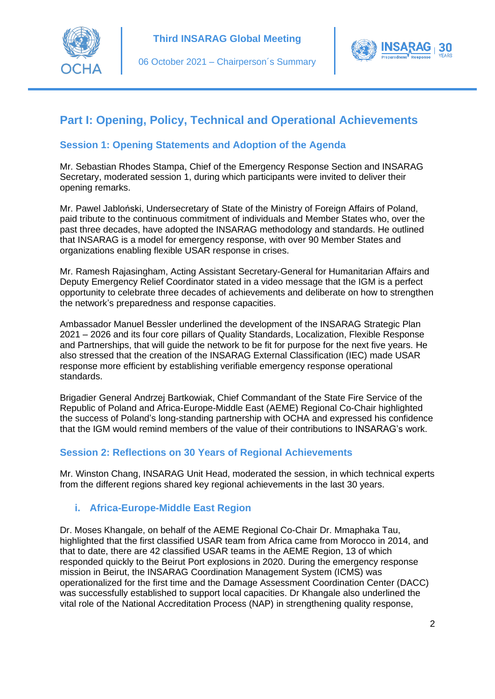



# **Part I: Opening, Policy, Technical and Operational Achievements**

## **Session 1: Opening Statements and Adoption of the Agenda**

Mr. Sebastian Rhodes Stampa, Chief of the Emergency Response Section and INSARAG Secretary, moderated session 1, during which participants were invited to deliver their opening remarks.

Mr. Pawel Jabloński, Undersecretary of State of the Ministry of Foreign Affairs of Poland, paid tribute to the continuous commitment of individuals and Member States who, over the past three decades, have adopted the INSARAG methodology and standards. He outlined that INSARAG is a model for emergency response, with over 90 Member States and organizations enabling flexible USAR response in crises.

Mr. Ramesh Rajasingham, Acting Assistant Secretary-General for Humanitarian Affairs and Deputy Emergency Relief Coordinator stated in a video message that the IGM is a perfect opportunity to celebrate three decades of achievements and deliberate on how to strengthen the network's preparedness and response capacities.

Ambassador Manuel Bessler underlined the development of the INSARAG Strategic Plan 2021 – 2026 and its four core pillars of Quality Standards, Localization, Flexible Response and Partnerships, that will guide the network to be fit for purpose for the next five years. He also stressed that the creation of the INSARAG External Classification (IEC) made USAR response more efficient by establishing verifiable emergency response operational standards.

Brigadier General Andrzej Bartkowiak, Chief Commandant of the State Fire Service of the Republic of Poland and Africa-Europe-Middle East (AEME) Regional Co-Chair highlighted the success of Poland's long-standing partnership with OCHA and expressed his confidence that the IGM would remind members of the value of their contributions to INSARAG's work.

## **Session 2: Reflections on 30 Years of Regional Achievements**

Mr. Winston Chang, INSARAG Unit Head, moderated the session, in which technical experts from the different regions shared key regional achievements in the last 30 years.

## **i. Africa-Europe-Middle East Region**

Dr. Moses Khangale, on behalf of the AEME Regional Co-Chair Dr. Mmaphaka Tau, highlighted that the first classified USAR team from Africa came from Morocco in 2014, and that to date, there are 42 classified USAR teams in the AEME Region, 13 of which responded quickly to the Beirut Port explosions in 2020. During the emergency response mission in Beirut, the INSARAG Coordination Management System (ICMS) was operationalized for the first time and the Damage Assessment Coordination Center (DACC) was successfully established to support local capacities. Dr Khangale also underlined the vital role of the National Accreditation Process (NAP) in strengthening quality response,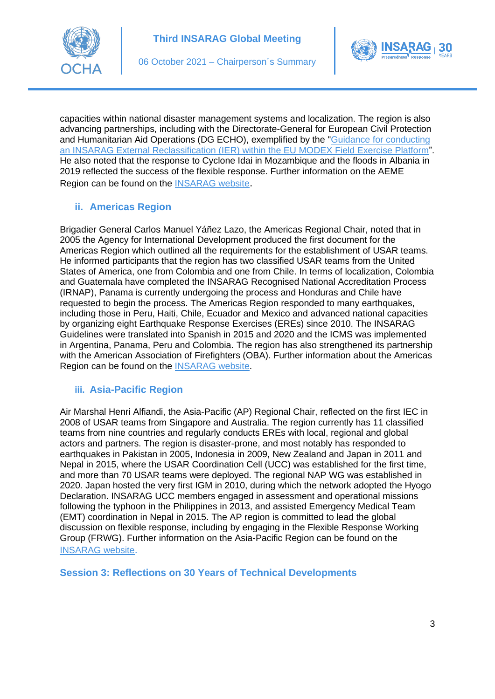



capacities within national disaster management systems and localization. The region is also advancing partnerships, including with the Directorate-General for European Civil Protection and Humanitarian Aid Operations (DG ECHO), exemplified by the ["Guidance for conducting](https://www.insarag.org/wp-content/uploads/2021/05/Annex-D.-Guidance-for-conducting-an-compresse.pdf)  [an INSARAG External Reclassification \(IER\) within the EU MODEX Field Exercise Platform"](https://www.insarag.org/wp-content/uploads/2021/05/Annex-D.-Guidance-for-conducting-an-compresse.pdf). He also noted that the response to Cyclone Idai in Mozambique and the floods in Albania in 2019 reflected the success of the flexible response. Further information on the AEME Region can be found on the [INSARAG website](https://www.insarag.org/regional-groups/africa-europe-middle-east/insarag-africa-europe-middle-east-region/).

## **ii. Americas Region**

Brigadier General Carlos Manuel Yáñez Lazo, the Americas Regional Chair, noted that in 2005 the Agency for International Development produced the first document for the Americas Region which outlined all the requirements for the establishment of USAR teams. He informed participants that the region has two classified USAR teams from the United States of America, one from Colombia and one from Chile. In terms of localization, Colombia and Guatemala have completed the INSARAG Recognised National Accreditation Process (IRNAP), Panama is currently undergoing the process and Honduras and Chile have requested to begin the process. The Americas Region responded to many earthquakes, including those in Peru, Haiti, Chile, Ecuador and Mexico and advanced national capacities by organizing eight Earthquake Response Exercises (EREs) since 2010. The INSARAG Guidelines were translated into Spanish in 2015 and 2020 and the ICMS was implemented in Argentina, Panama, Peru and Colombia. The region has also strengthened its partnership with the American Association of Firefighters (OBA). Further information about the Americas Region can be found on the [INSARAG website.](https://www.insarag.org/regional-groups/america/americas/)

## **iii. Asia-Pacific Region**

Air Marshal Henri Alfiandi, the Asia-Pacific (AP) Regional Chair, reflected on the first IEC in 2008 of USAR teams from Singapore and Australia. The region currently has 11 classified teams from nine countries and regularly conducts EREs with local, regional and global actors and partners. The region is disaster-prone, and most notably has responded to earthquakes in Pakistan in 2005, Indonesia in 2009, New Zealand and Japan in 2011 and Nepal in 2015, where the USAR Coordination Cell (UCC) was established for the first time, and more than 70 USAR teams were deployed. The regional NAP WG was established in 2020. Japan hosted the very first IGM in 2010, during which the network adopted the Hyogo Declaration. INSARAG UCC members engaged in assessment and operational missions following the typhoon in the Philippines in 2013, and assisted Emergency Medical Team (EMT) coordination in Nepal in 2015. The AP region is committed to lead the global discussion on flexible response, including by engaging in the Flexible Response Working Group (FRWG). Further information on the Asia-Pacific Region can be found on the [INSARAG website](https://www.insarag.org/regional-groups/asia-pacific/asia-pacific/).

**Session 3: Reflections on 30 Years of Technical Developments**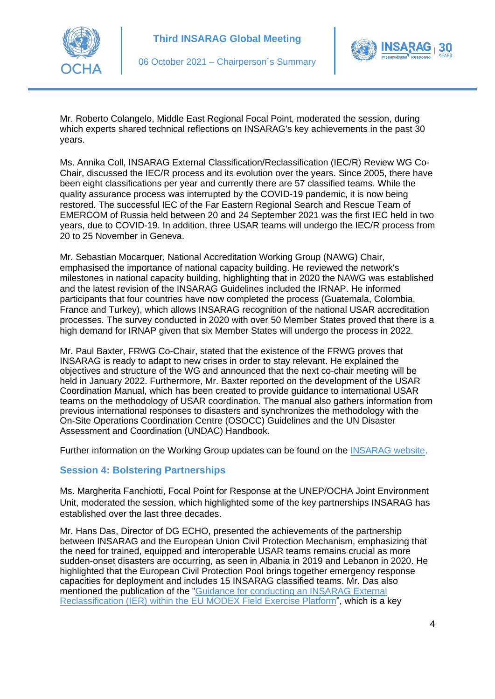



Mr. Roberto Colangelo, Middle East Regional Focal Point, moderated the session, during which experts shared technical reflections on INSARAG's key achievements in the past 30 years.

Ms. Annika Coll, INSARAG External Classification/Reclassification (IEC/R) Review WG Co-Chair, discussed the IEC/R process and its evolution over the years. Since 2005, there have been eight classifications per year and currently there are 57 classified teams. While the quality assurance process was interrupted by the COVID-19 pandemic, it is now being restored. The successful IEC of the Far Eastern Regional Search and Rescue Team of EMERCOM of Russia held between 20 and 24 September 2021 was the first IEC held in two years, due to COVID-19. In addition, three USAR teams will undergo the IEC/R process from 20 to 25 November in Geneva.

Mr. Sebastian Mocarquer, National Accreditation Working Group (NAWG) Chair, emphasised the importance of national capacity building. He reviewed the network's milestones in national capacity building, highlighting that in 2020 the NAWG was established and the latest revision of the INSARAG Guidelines included the IRNAP. He informed participants that four countries have now completed the process (Guatemala, Colombia, France and Turkey), which allows INSARAG recognition of the national USAR accreditation processes. The survey conducted in 2020 with over 50 Member States proved that there is a high demand for IRNAP given that six Member States will undergo the process in 2022.

Mr. Paul Baxter, FRWG Co-Chair, stated that the existence of the FRWG proves that INSARAG is ready to adapt to new crises in order to stay relevant. He explained the objectives and structure of the WG and announced that the next co-chair meeting will be held in January 2022. Furthermore, Mr. Baxter reported on the development of the USAR Coordination Manual, which has been created to provide guidance to international USAR teams on the methodology of USAR coordination. The manual also gathers information from previous international responses to disasters and synchronizes the methodology with the On-Site Operations Coordination Centre (OSOCC) Guidelines and the UN Disaster Assessment and Coordination (UNDAC) Handbook.

Further information on the Working Group updates can be found on the [INSARAG website](https://www.insarag.org/global-structures/working-group/).

#### **Session 4: Bolstering Partnerships**

Ms. Margherita Fanchiotti, Focal Point for Response at the UNEP/OCHA Joint Environment Unit, moderated the session, which highlighted some of the key partnerships INSARAG has established over the last three decades.

Mr. Hans Das, Director of DG ECHO, presented the achievements of the partnership between INSARAG and the European Union Civil Protection Mechanism, emphasizing that the need for trained, equipped and interoperable USAR teams remains crucial as more sudden-onset disasters are occurring, as seen in Albania in 2019 and Lebanon in 2020. He highlighted that the European Civil Protection Pool brings together emergency response capacities for deployment and includes 15 INSARAG classified teams. Mr. Das also mentioned the publication of the "Guidance for conducting an INSARAG External [Reclassification \(IER\) within the EU MODEX Field Exercise Platform"](https://www.insarag.org/wp-content/uploads/2021/05/Annex-D.-Guidance-for-conducting-an-compresse.pdf), which is a key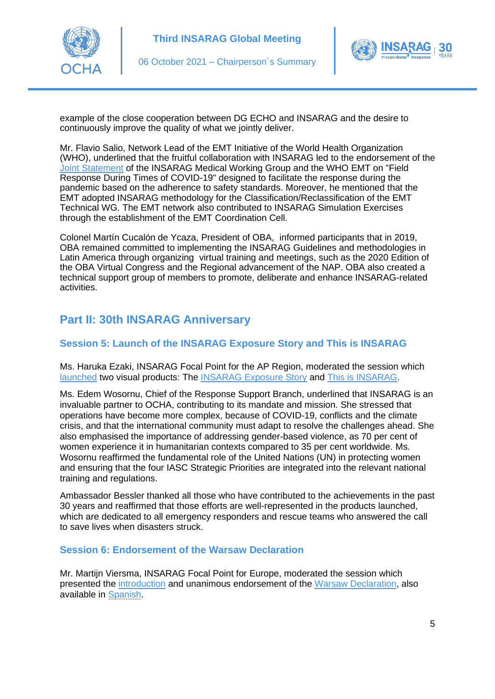



example of the close cooperation between DG ECHO and INSARAG and the desire to continuously improve the quality of what we jointly deliver.

Mr. Flavio Salio, Network Lead of the EMT Initiative of the World Health Organization (WHO), underlined that the fruitful collaboration with INSARAG led to the endorsement of the [Joint Statement](https://www.insarag.org/global-structures/global-news/joint-statement-issued-by-insarag-mwg-and-who-emt_v19may2021/) of the INSARAG Medical Working Group and the WHO EMT on "Field Response During Times of COVID-19" designed to facilitate the response during the pandemic based on the adherence to safety standards. Moreover, he mentioned that the EMT adopted INSARAG methodology for the Classification/Reclassification of the EMT Technical WG. The EMT network also contributed to INSARAG Simulation Exercises through the establishment of the EMT Coordination Cell.

Colonel Martín Cucalón de Ycaza, President of OBA, informed participants that in 2019, OBA remained committed to implementing the INSARAG Guidelines and methodologies in Latin America through organizing virtual training and meetings, such as the 2020 Edition of the OBA Virtual Congress and the Regional advancement of the NAP. OBA also created a technical support group of members to promote, deliberate and enhance INSARAG-related activities.

# **Part II: 30th INSARAG Anniversary**

## **Session 5: Launch of the INSARAG Exposure Story and This is INSARAG**

Ms. Haruka Ezaki, INSARAG Focal Point for the AP Region, moderated the session which [launched](https://www.insarag.org/wp-content/uploads/2021/10/This-is-INSARAG-and-Exposure-Launch-Video-04_10_2021.mp4) two visual products: The [INSARAG Exposure Story](https://unocha.exposure.co/insarag-1) and [This is INSARAG.](https://www.insarag.org/wp-content/uploads/2021/10/This-is-INSARAG-200dpi_for-website.pdf)

Ms. Edem Wosornu, Chief of the Response Support Branch, underlined that INSARAG is an invaluable partner to OCHA, contributing to its mandate and mission. She stressed that operations have become more complex, because of COVID-19, conflicts and the climate crisis, and that the international community must adapt to resolve the challenges ahead. She also emphasised the importance of addressing gender-based violence, as 70 per cent of women experience it in humanitarian contexts compared to 35 per cent worldwide. Ms. Wosornu reaffirmed the fundamental role of the United Nations (UN) in protecting women and ensuring that the four IASC Strategic Priorities are integrated into the relevant national training and regulations.

Ambassador Bessler thanked all those who have contributed to the achievements in the past 30 years and reaffirmed that those efforts are well-represented in the products launched, which are dedicated to all emergency responders and rescue teams who answered the call to save lives when disasters struck.

#### **Session 6: Endorsement of the Warsaw Declaration**

Mr. Martijn Viersma, INSARAG Focal Point for Europe, moderated the session which presented the [introduction](https://www.insarag.org/wp-content/uploads/2021/10/Warsaw-Declaration-Endorsement-Video-01_10_2021-1.mp4) and unanimous endorsement of the [Warsaw Declaration,](https://www.insarag.org/wp-content/uploads/2021/10/Warsaw-Declaration-ENDORSED-on-06-October-1.pdf) also available in [Spanish.](https://www.insarag.org/wp-content/uploads/2021/10/Declaracion-de-Varsovia-Aprobada-el-06-Octubre-de-2021-1.pdf)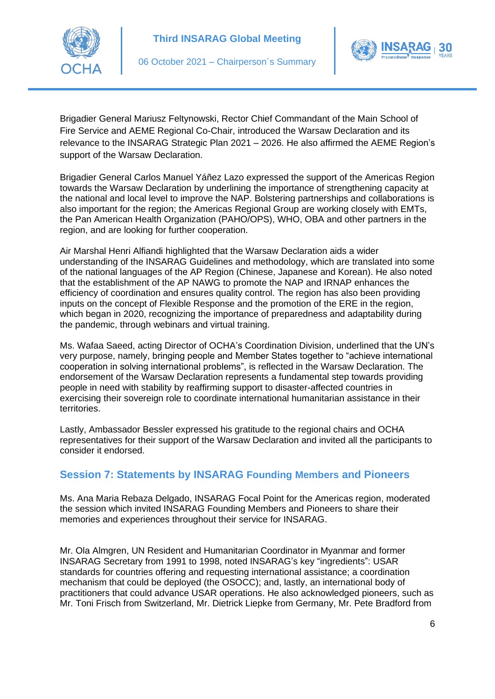





Brigadier General Mariusz Feltynowski, Rector Chief Commandant of the Main School of Fire Service and AEME Regional Co-Chair, introduced the Warsaw Declaration and its relevance to the INSARAG Strategic Plan 2021 – 2026. He also affirmed the AEME Region's support of the Warsaw Declaration.

Brigadier General Carlos Manuel Yáñez Lazo expressed the support of the Americas Region towards the Warsaw Declaration by underlining the importance of strengthening capacity at the national and local level to improve the NAP. Bolstering partnerships and collaborations is also important for the region; the Americas Regional Group are working closely with EMTs, the Pan American Health Organization (PAHO/OPS), WHO, OBA and other partners in the region, and are looking for further cooperation.

Air Marshal Henri Alfiandi highlighted that the Warsaw Declaration aids a wider understanding of the INSARAG Guidelines and methodology, which are translated into some of the national languages of the AP Region (Chinese, Japanese and Korean). He also noted that the establishment of the AP NAWG to promote the NAP and IRNAP enhances the efficiency of coordination and ensures quality control. The region has also been providing inputs on the concept of Flexible Response and the promotion of the ERE in the region, which began in 2020, recognizing the importance of preparedness and adaptability during the pandemic, through webinars and virtual training.

Ms. Wafaa Saeed, acting Director of OCHA's Coordination Division, underlined that the UN's very purpose, namely, bringing people and Member States together to "achieve international cooperation in solving international problems", is reflected in the Warsaw Declaration. The endorsement of the Warsaw Declaration represents a fundamental step towards providing people in need with stability by reaffirming support to disaster-affected countries in exercising their sovereign role to coordinate international humanitarian assistance in their territories.

Lastly, Ambassador Bessler expressed his gratitude to the regional chairs and OCHA representatives for their support of the Warsaw Declaration and invited all the participants to consider it endorsed.

## **Session 7: Statements by INSARAG Founding Members and Pioneers**

Ms. Ana Maria Rebaza Delgado, INSARAG Focal Point for the Americas region, moderated the session which invited INSARAG Founding Members and Pioneers to share their memories and experiences throughout their service for INSARAG.

Mr. Ola Almgren, UN Resident and Humanitarian Coordinator in Myanmar and former INSARAG Secretary from 1991 to 1998, noted INSARAG's key "ingredients": USAR standards for countries offering and requesting international assistance; a coordination mechanism that could be deployed (the OSOCC); and, lastly, an international body of practitioners that could advance USAR operations. He also acknowledged pioneers, such as Mr. Toni Frisch from Switzerland, Mr. Dietrick Liepke from Germany, Mr. Pete Bradford from